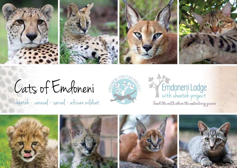

Cats of Emdoneni

cheetah • caracal • serval • african wildcat